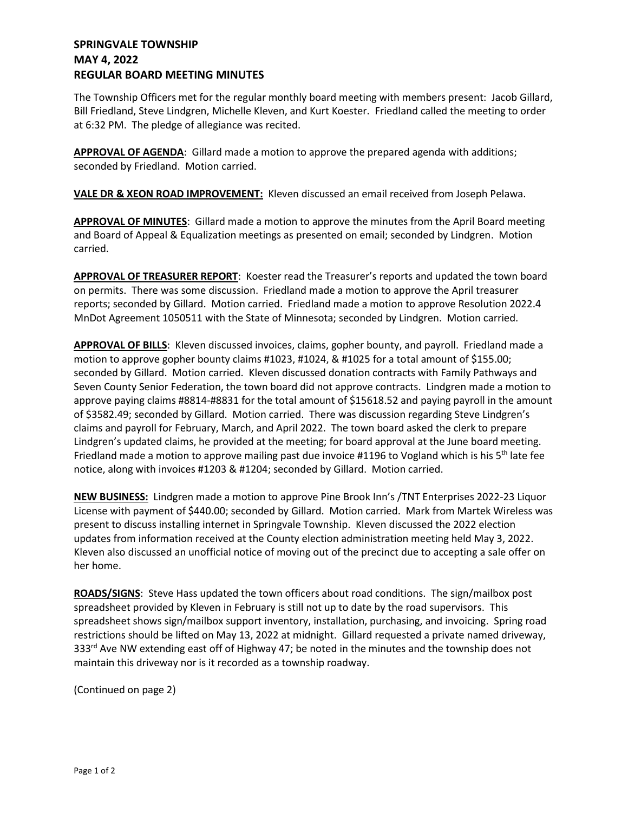## **SPRINGVALE TOWNSHIP MAY 4, 2022 REGULAR BOARD MEETING MINUTES**

The Township Officers met for the regular monthly board meeting with members present: Jacob Gillard, Bill Friedland, Steve Lindgren, Michelle Kleven, and Kurt Koester. Friedland called the meeting to order at 6:32 PM. The pledge of allegiance was recited.

**APPROVAL OF AGENDA**: Gillard made a motion to approve the prepared agenda with additions; seconded by Friedland. Motion carried.

**VALE DR & XEON ROAD IMPROVEMENT:** Kleven discussed an email received from Joseph Pelawa.

**APPROVAL OF MINUTES**: Gillard made a motion to approve the minutes from the April Board meeting and Board of Appeal & Equalization meetings as presented on email; seconded by Lindgren. Motion carried.

**APPROVAL OF TREASURER REPORT**: Koester read the Treasurer's reports and updated the town board on permits. There was some discussion. Friedland made a motion to approve the April treasurer reports; seconded by Gillard. Motion carried. Friedland made a motion to approve Resolution 2022.4 MnDot Agreement 1050511 with the State of Minnesota; seconded by Lindgren. Motion carried.

**APPROVAL OF BILLS**: Kleven discussed invoices, claims, gopher bounty, and payroll. Friedland made a motion to approve gopher bounty claims #1023, #1024, & #1025 for a total amount of \$155.00; seconded by Gillard. Motion carried. Kleven discussed donation contracts with Family Pathways and Seven County Senior Federation, the town board did not approve contracts. Lindgren made a motion to approve paying claims #8814-#8831 for the total amount of \$15618.52 and paying payroll in the amount of \$3582.49; seconded by Gillard. Motion carried. There was discussion regarding Steve Lindgren's claims and payroll for February, March, and April 2022. The town board asked the clerk to prepare Lindgren's updated claims, he provided at the meeting; for board approval at the June board meeting. Friedland made a motion to approve mailing past due invoice #1196 to Vogland which is his 5<sup>th</sup> late fee notice, along with invoices #1203 & #1204; seconded by Gillard. Motion carried.

**NEW BUSINESS:** Lindgren made a motion to approve Pine Brook Inn's /TNT Enterprises 2022-23 Liquor License with payment of \$440.00; seconded by Gillard. Motion carried. Mark from Martek Wireless was present to discuss installing internet in Springvale Township. Kleven discussed the 2022 election updates from information received at the County election administration meeting held May 3, 2022. Kleven also discussed an unofficial notice of moving out of the precinct due to accepting a sale offer on her home.

**ROADS/SIGNS**: Steve Hass updated the town officers about road conditions. The sign/mailbox post spreadsheet provided by Kleven in February is still not up to date by the road supervisors. This spreadsheet shows sign/mailbox support inventory, installation, purchasing, and invoicing. Spring road restrictions should be lifted on May 13, 2022 at midnight. Gillard requested a private named driveway,  $333<sup>rd</sup>$  Ave NW extending east off of Highway 47; be noted in the minutes and the township does not maintain this driveway nor is it recorded as a township roadway.

(Continued on page 2)